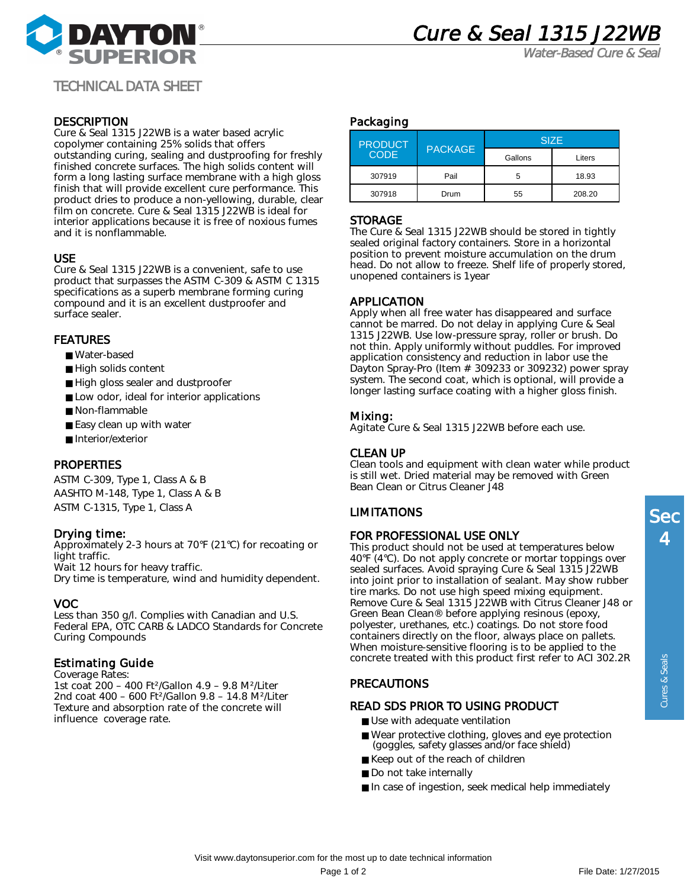



Water-Based Cure & Seal

TECHNICAL DATA SHEET

#### **DESCRIPTION**

Cure & Seal 1315 J22WB is a water based acrylic copolymer containing 25% solids that offers outstanding curing, sealing and dustproofing for freshly finished concrete surfaces. The high solids content will form a long lasting surface membrane with a high gloss finish that will provide excellent cure performance. This product dries to produce a non-yellowing, durable, clear film on concrete. Cure & Seal 1315 J22WB is ideal for interior applications because it is free of noxious fumes and it is nonflammable.

#### USE

Cure & Seal 1315 J22WB is a convenient, safe to use product that surpasses the ASTM C-309 & ASTM C 1315 specifications as a superb membrane forming curing compound and it is an excellent dustproofer and surface sealer.

#### FEATURES

- Water-based
- High solids content
- High gloss sealer and dustproofer
- Low odor, ideal for interior applications
- Non-flammable
- Easy clean up with water
- Interior/exterior

## PROPERTIES

ASTM C-309, Type 1, Class A & B AASHTO M-148, Type 1, Class A & B ASTM C-1315, Type 1, Class A

## Drying time:

Approximately 2-3 hours at 70°F (21°C) for recoating or light traffic. Wait 12 hours for heavy traffic. Dry time is temperature, wind and humidity dependent.

## VOC

Less than 350 g/l. Complies with Canadian and U.S. Federal EPA, OTC CARB & LADCO Standards for Concrete Curing Compounds

#### Estimating Guide

Coverage Rates:

1st coat 200 – 400 Ft²/Gallon 4.9 – 9.8 M²/Liter 2nd coat 400 – 600 Ft²/Gallon 9.8 – 14.8 M²/Liter Texture and absorption rate of the concrete will influence coverage rate.

#### Packaging

| <b>PRODUCT</b><br><b>CODE</b> | <b>PACKAGE</b> | <b>SIZE</b> |        |
|-------------------------------|----------------|-------------|--------|
|                               |                | Gallons     | Liters |
| 307919                        | Pail           |             | 18.93  |
| 307918                        | Drum           | 55          | 208.20 |

#### **STORAGE**

The Cure & Seal 1315 J22WB should be stored in tightly sealed original factory containers. Store in a horizontal position to prevent moisture accumulation on the drum head. Do not allow to freeze. Shelf life of properly stored, unopened containers is 1year

## APPLICATION

Apply when all free water has disappeared and surface cannot be marred. Do not delay in applying Cure & Seal 1315 J22WB. Use low-pressure spray, roller or brush. Do not thin. Apply uniformly without puddles. For improved application consistency and reduction in labor use the Dayton Spray-Pro (Item # 309233 or 309232) power spray system. The second coat, which is optional, will provide a longer lasting surface coating with a higher gloss finish.

## Mixing:

Agitate Cure & Seal 1315 J22WB before each use.

## CLEAN UP

Clean tools and equipment with clean water while product is still wet. Dried material may be removed with Green Bean Clean or Citrus Cleaner J48

## LIMITATIONS

#### FOR PROFESSIONAL USE ONLY

This product should not be used at temperatures below 40°F (4°C). Do not apply concrete or mortar toppings over sealed surfaces. Avoid spraying Cure & Seal 1315 J22WB into joint prior to installation of sealant. May show rubber tire marks. Do not use high speed mixing equipment. Remove Cure & Seal 1315 J22WB with Citrus Cleaner J48 or Green Bean Clean® before applying resinous (epoxy, polyester, urethanes, etc.) coatings. Do not store food containers directly on the floor, always place on pallets. When moisture-sensitive flooring is to be applied to the concrete treated with this product first refer to ACI 302.2R

# PRECAUTIONS

## READ SDS PRIOR TO USING PRODUCT

- Use with adequate ventilation
- Wear protective clothing, gloves and eye protection (goggles, safety glasses and/or face shield)
- Keep out of the reach of children
- Do not take internally
- In case of ingestion, seek medical help immediately

Cures & Seals

Cures & Seals